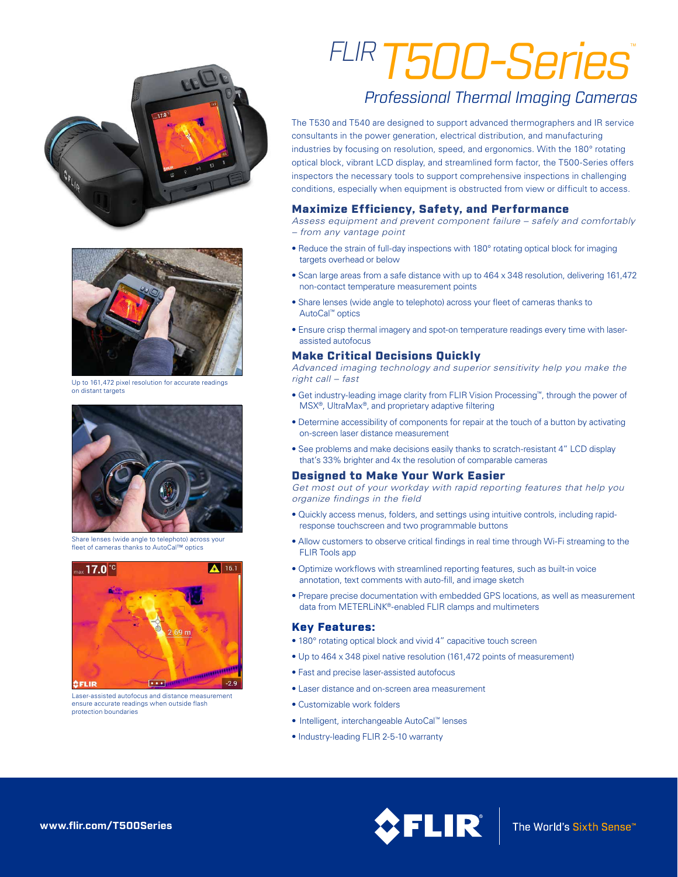



Up to 161,472 pixel resolution for accurate readings on distant targets



Share lenses (wide angle to telephoto) across your fleet of cameras thanks to AutoCal™ optics



Laser-assisted autofocus and distance measurement ensure accurate readings when outside flash protection boundaries

# *FLIRT500-Series*™

# *Professional Thermal Imaging Cameras*

The T530 and T540 are designed to support advanced thermographers and IR service consultants in the power generation, electrical distribution, and manufacturing industries by focusing on resolution, speed, and ergonomics. With the 180° rotating optical block, vibrant LCD display, and streamlined form factor, the T500-Series offers inspectors the necessary tools to support comprehensive inspections in challenging conditions, especially when equipment is obstructed from view or difficult to access.

## Maximize Efficiency, Safety, and Performance

*Assess equipment and prevent component failure – safely and comfortably – from any vantage point*

- Reduce the strain of full-day inspections with 180° rotating optical block for imaging targets overhead or below
- Scan large areas from a safe distance with up to 464 x 348 resolution, delivering 161,472 non-contact temperature measurement points
- Share lenses (wide angle to telephoto) across your fleet of cameras thanks to AutoCal™ optics
- Ensure crisp thermal imagery and spot-on temperature readings every time with laserassisted autofocus

### Make Critical Decisions Quickly

*Advanced imaging technology and superior sensitivity help you make the right call – fast*

- Get industry-leading image clarity from FLIR Vision Processing™, through the power of MSX®, UltraMax®, and proprietary adaptive filtering
- Determine accessibility of components for repair at the touch of a button by activating on-screen laser distance measurement
- See problems and make decisions easily thanks to scratch-resistant 4" LCD display that's 33% brighter and 4x the resolution of comparable cameras

#### Designed to Make Your Work Easier

*Get most out of your workday with rapid reporting features that help you organize findings in the field*

- Quickly access menus, folders, and settings using intuitive controls, including rapidresponse touchscreen and two programmable buttons
- Allow customers to observe critical findings in real time through Wi-Fi streaming to the FLIR Tools app
- Optimize workflows with streamlined reporting features, such as built-in voice annotation, text comments with auto-fill, and image sketch
- Prepare precise documentation with embedded GPS locations, as well as measurement data from METERLiNK®-enabled FLIR clamps and multimeters

#### Key Features:

- 180° rotating optical block and vivid 4" capacitive touch screen
- Up to 464 x 348 pixel native resolution (161,472 points of measurement)
- Fast and precise laser-assisted autofocus
- Laser distance and on-screen area measurement
- Customizable work folders
- Intelligent, interchangeable AutoCal™ lenses
- Industry-leading FLIR 2-5-10 warranty